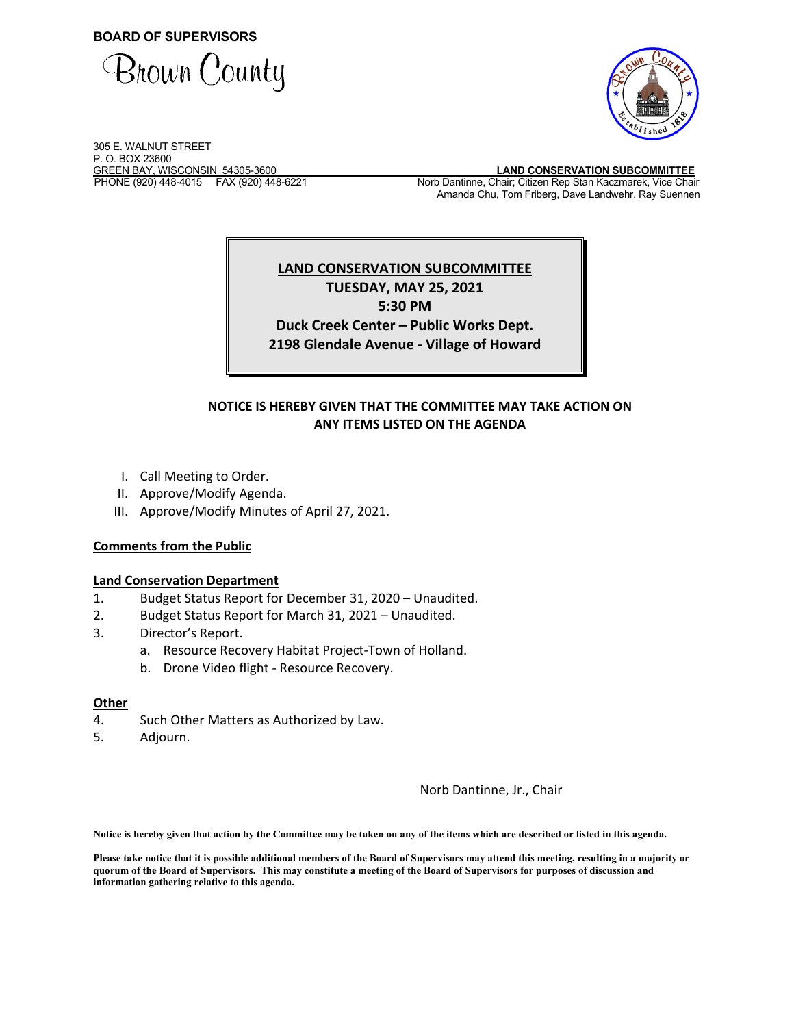**BOARD OF SUPERVISORS** 





305 E. WALNUT STREET P. O. BOX 23600<br>GREEN BAY, WISCONSIN 54305-3600

GREEN BAY, WISCONSIN 54305-3600 **LAND CONSERVATION SUBCOMMITTEE**  Norb Dantinne, Chair; Citizen Rep Stan Kaczmarek, Vice Chair Amanda Chu, Tom Friberg, Dave Landwehr, Ray Suennen

# **LAND CONSERVATION SUBCOMMITTEE TUESDAY, MAY 25, 2021**

**5:30 PM**

**Duck Creek Center – Public Works Dept. 2198 Glendale Avenue ‐ Village of Howard**

## **NOTICE IS HEREBY GIVEN THAT THE COMMITTEE MAY TAKE ACTION ON ANY ITEMS LISTED ON THE AGENDA**

- I. Call Meeting to Order.
- II. Approve/Modify Agenda.
- III. Approve/Modify Minutes of April 27, 2021.

### **Comments from the Public**

### **Land Conservation Department**

- 1. Budget Status Report for December 31, 2020 Unaudited.
- 2. Budget Status Report for March 31, 2021 Unaudited.
- 3. Director's Report.
	- a. Resource Recovery Habitat Project‐Town of Holland.
	- b. Drone Video flight ‐ Resource Recovery.

### **Other**

- 4. Such Other Matters as Authorized by Law.
- 5. Adjourn.

Norb Dantinne, Jr., Chair

**Notice is hereby given that action by the Committee may be taken on any of the items which are described or listed in this agenda.** 

**Please take notice that it is possible additional members of the Board of Supervisors may attend this meeting, resulting in a majority or quorum of the Board of Supervisors. This may constitute a meeting of the Board of Supervisors for purposes of discussion and information gathering relative to this agenda.**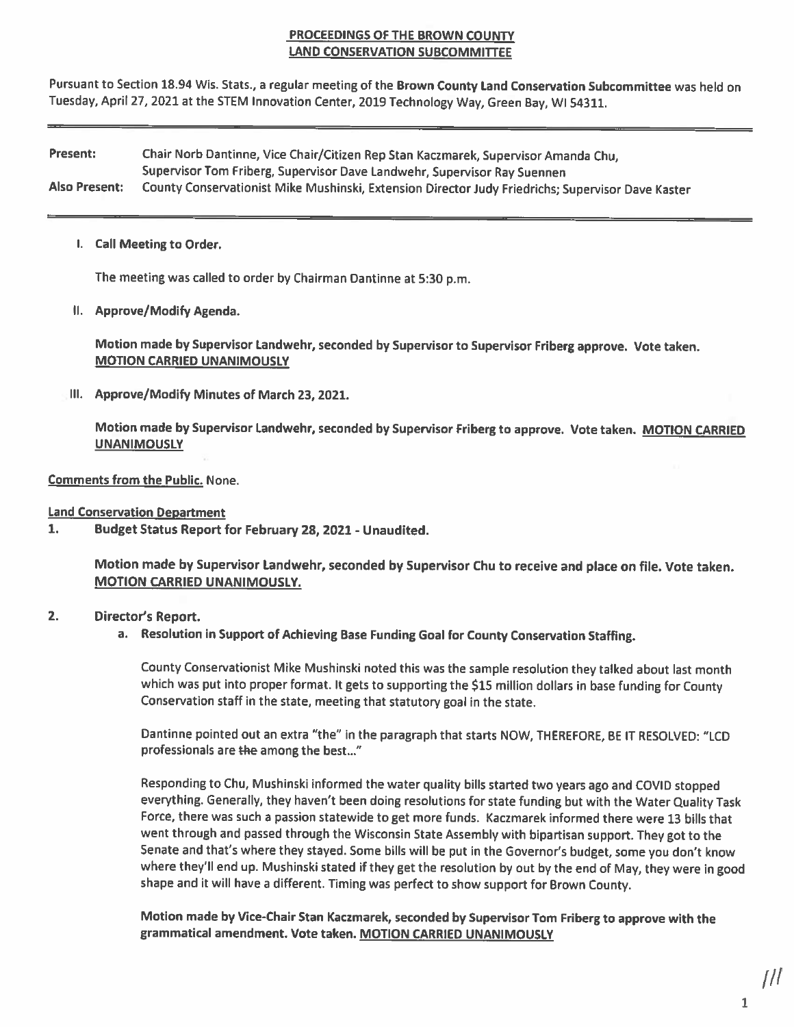### **PROCEEDINGS OF THE BROWN COUNTY LAND CONSERVATION SUBCOMMITTEE**

Pursuant to Section 18.94 Wis. Stats., a regular meeting of the Brown County Land Conservation Subcommittee was held on Tuesday, April 27, 2021 at the STEM Innovation Center, 2019 Technology Way, Green Bay, WI 54311.

Present: Chair Norb Dantinne, Vice Chair/Citizen Rep Stan Kaczmarek, Supervisor Amanda Chu, Supervisor Tom Friberg, Supervisor Dave Landwehr, Supervisor Ray Suennen **Also Present:** County Conservationist Mike Mushinski, Extension Director Judy Friedrichs; Supervisor Dave Kaster

I. Call Meeting to Order.

The meeting was called to order by Chairman Dantinne at 5:30 p.m.

II. Approve/Modify Agenda.

Motion made by Supervisor Landwehr, seconded by Supervisor to Supervisor Friberg approve. Vote taken. **MOTION CARRIED UNANIMOUSLY** 

III. Approve/Modify Minutes of March 23, 2021.

Motion made by Supervisor Landwehr, seconded by Supervisor Friberg to approve. Vote taken. MOTION CARRIED **UNANIMOUSLY** 

**Comments from the Public. None.** 

**Land Conservation Department** 

1. Budget Status Report for February 28, 2021 - Unaudited.

> Motion made by Supervisor Landwehr, seconded by Supervisor Chu to receive and place on file. Vote taken. **MOTION CARRIED UNANIMOUSLY.**

### $2.$ Director's Report.

a. Resolution in Support of Achieving Base Funding Goal for County Conservation Staffing.

County Conservationist Mike Mushinski noted this was the sample resolution they talked about last month which was put into proper format. It gets to supporting the \$15 million dollars in base funding for County Conservation staff in the state, meeting that statutory goal in the state.

Dantinne pointed out an extra "the" in the paragraph that starts NOW, THEREFORE, BE IT RESOLVED: "LCD professionals are the among the best..."

Responding to Chu, Mushinski informed the water quality bills started two years ago and COVID stopped everything. Generally, they haven't been doing resolutions for state funding but with the Water Quality Task Force, there was such a passion statewide to get more funds. Kaczmarek informed there were 13 bills that went through and passed through the Wisconsin State Assembly with bipartisan support. They got to the Senate and that's where they stayed. Some bills will be put in the Governor's budget, some you don't know where they'll end up. Mushinski stated if they get the resolution by out by the end of May, they were in good shape and it will have a different. Timing was perfect to show support for Brown County.

Motion made by Vice-Chair Stan Kaczmarek, seconded by Supervisor Tom Friberg to approve with the grammatical amendment. Vote taken. MOTION CARRIED UNANIMOUSLY

 $\mathbf{1}$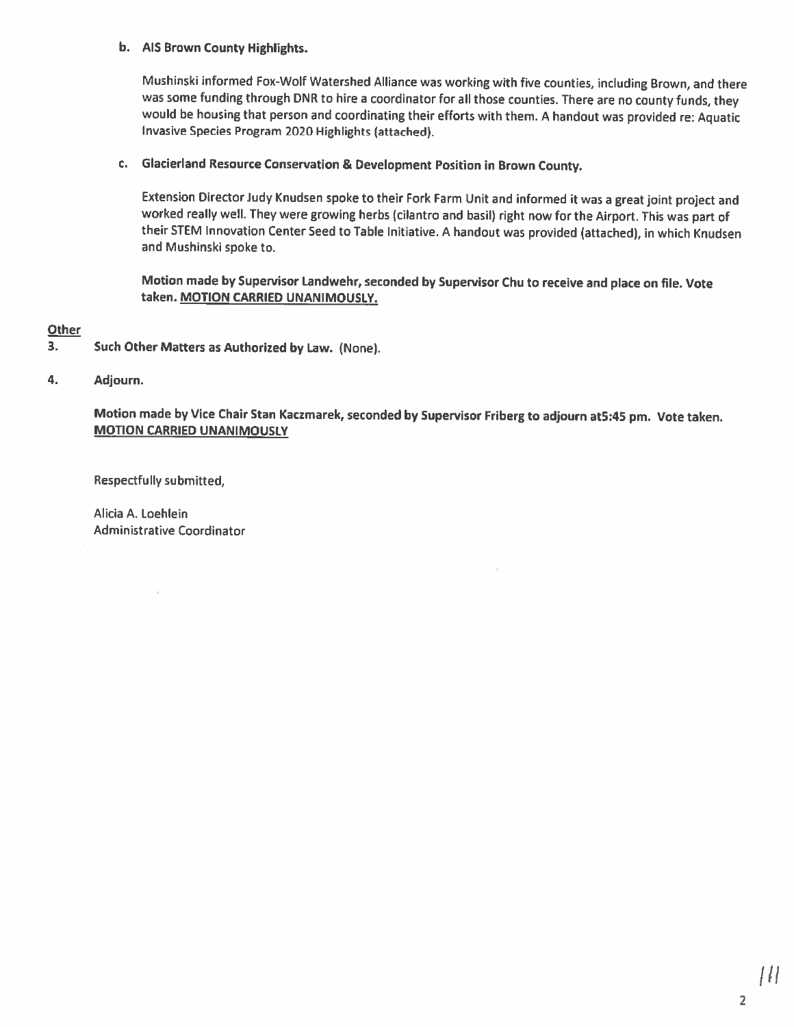### b. AIS Brown County Highlights.

Mushinski informed Fox-Wolf Watershed Alliance was working with five counties, including Brown, and there was some funding through DNR to hire a coordinator for all those counties. There are no county funds, they would be housing that person and coordinating their efforts with them. A handout was provided re: Aquatic Invasive Species Program 2020 Highlights (attached).

### c. Glacierland Resource Conservation & Development Position in Brown County.

Extension Director Judy Knudsen spoke to their Fork Farm Unit and informed it was a great joint project and worked really well. They were growing herbs (cilantro and basil) right now for the Airport. This was part of their STEM Innovation Center Seed to Table Initiative. A handout was provided (attached), in which Knudsen and Mushinski spoke to.

Motion made by Supervisor Landwehr, seconded by Supervisor Chu to receive and place on file. Vote taken. MOTION CARRIED UNANIMOUSLY.

**Other** 

- 3. Such Other Matters as Authorized by Law. (None).
- 4. Adjourn.

Motion made by Vice Chair Stan Kaczmarek, seconded by Supervisor Friberg to adjourn at5:45 pm. Vote taken. **MOTION CARRIED UNANIMOUSLY** 

**Respectfully submitted,** 

Alicia A. Loehlein **Administrative Coordinator**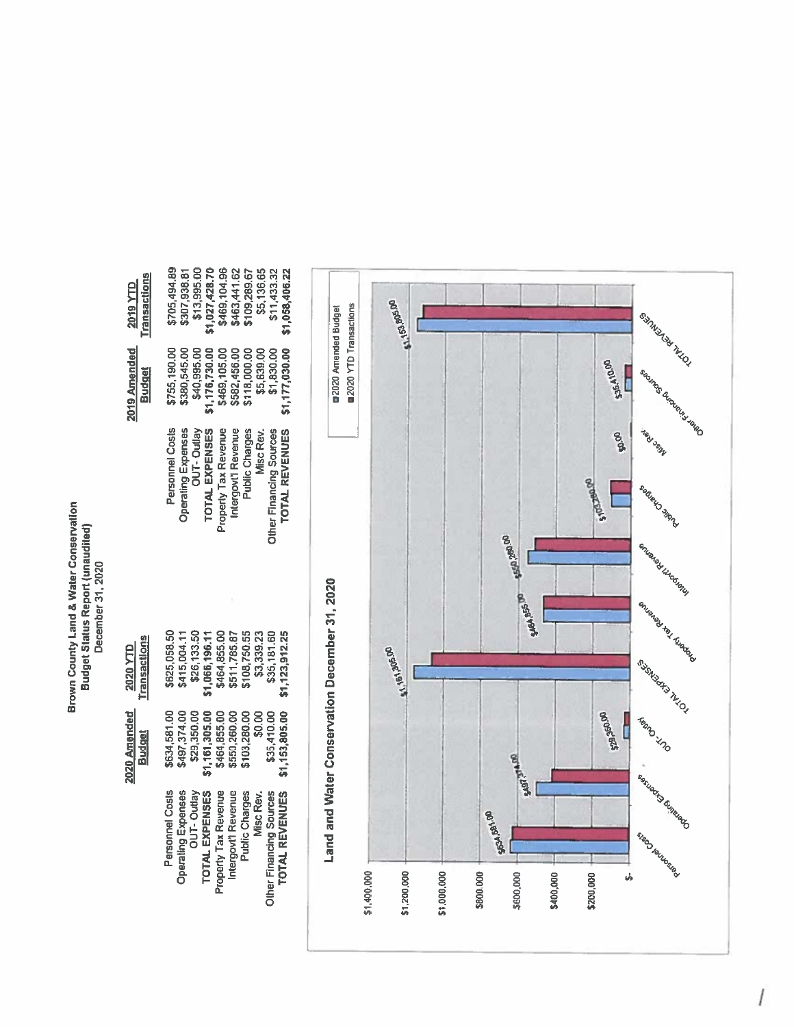Brown County Land & Water Conservation<br>Budget Status Report (unaudited)<br>December 31, 2020

| 2019 YTD<br>Transactions        | \$13,995.00<br>\$705,494.89<br>\$307,938.81<br>\$1,027,428.70<br>\$469,104.96<br>\$463,441.62<br>\$109,289.67<br>\$5,136.65<br>\$11,433.32<br>\$1,058,406.22                                                   |
|---------------------------------|----------------------------------------------------------------------------------------------------------------------------------------------------------------------------------------------------------------|
| 019 Amended<br><b>Budget</b>    | \$40,995.00<br>\$380,545.00<br>11,176,730.00<br>\$469,105.00<br>\$582,456.00<br>\$5,639.00<br>\$1,830.00<br>1,177,030.00<br>\$118,000.00<br>\$755,190.00                                                       |
|                                 | Personnel Costs<br>Property Tax Revenue<br>TOTAL REVENUES<br>Operating Expenses<br>OUT-Outlay<br><b>TOTAL EXPENSES</b><br>Public Charges<br>Misc Rev.<br><b>Ather Financing Sources</b>                        |
|                                 |                                                                                                                                                                                                                |
| <b>fransactions</b><br>2020 YTD | \$464,855.00<br>\$511,785.87<br>\$26,133.50<br>\$108,750.55<br>\$625,058.50<br>\$35,181.60<br>\$415,004.11<br>\$1,066,196.11<br>\$3,339.23<br>\$1,123,912.25                                                   |
| 020 Amended<br><b>Budget</b>    | \$497,374.00<br>\$634,581.00<br>\$1,161,305.00<br>\$464,855.00<br>\$29,350.00<br>\$550,260.00<br>\$103,280.00<br>\$0.00<br>\$1,153,805.00<br>\$35,410.00                                                       |
|                                 | Personnel Costs<br>Property Tax Revenue<br>Intergovt'l Revenue<br>Operating Expenses<br>OUT-Outlay<br><b>TOTAL EXPENSES</b><br>Other Financing Sources<br><b>TOTAL REVENUES</b><br>Public Charges<br>Misc Rev. |